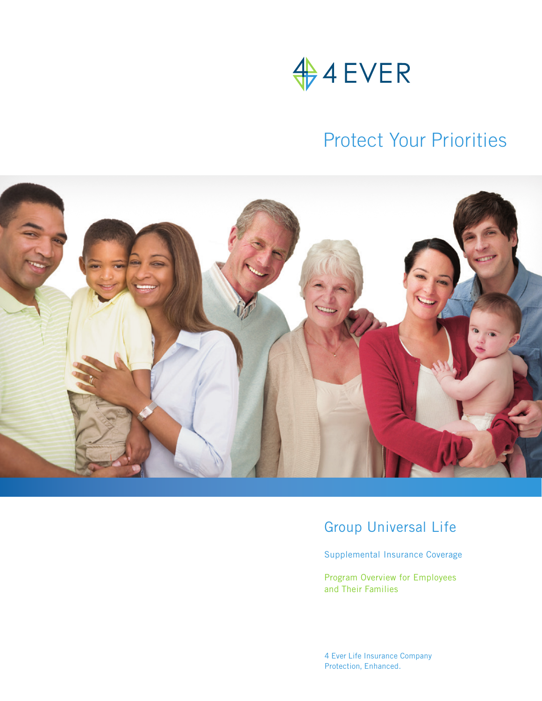

## Protect Your Priorities



### Group Universal Life

Supplemental Insurance Coverage

Program Overview for Employees and Their Families

4 Ever Life Insurance Company Protection, Enhanced.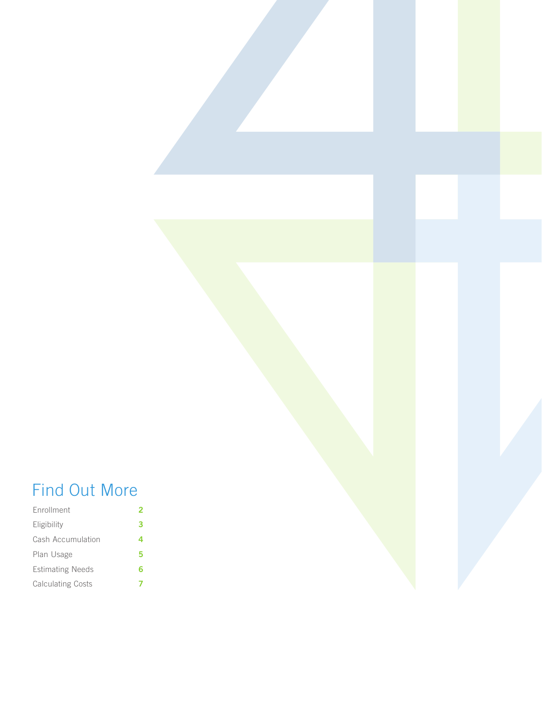## Find Out More

| <b>F</b> nrollment       |   |
|--------------------------|---|
| Eligibility              | 3 |
| Cash Accumulation        | 4 |
| Plan Usage               | 5 |
| <b>Estimating Needs</b>  | 6 |
| <b>Calculating Costs</b> |   |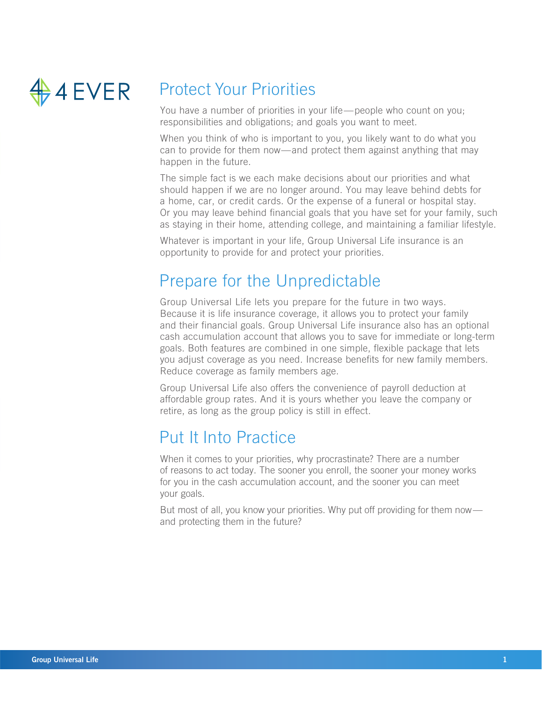

## Protect Your Priorities

You have a number of priorities in your life—people who count on you; responsibilities and obligations; and goals you want to meet.

When you think of who is important to you, you likely want to do what you can to provide for them now—and protect them against anything that may happen in the future.

The simple fact is we each make decisions about our priorities and what should happen if we are no longer around. You may leave behind debts for a home, car, or credit cards. Or the expense of a funeral or hospital stay. Or you may leave behind financial goals that you have set for your family, such as staying in their home, attending college, and maintaining a familiar lifestyle.

Whatever is important in your life, Group Universal Life insurance is an opportunity to provide for and protect your priorities.

### Prepare for the Unpredictable

Group Universal Life lets you prepare for the future in two ways. Because it is life insurance coverage, it allows you to protect your family and their financial goals. Group Universal Life insurance also has an optional cash accumulation account that allows you to save for immediate or long-term goals. Both features are combined in one simple, flexible package that lets you adjust coverage as you need. Increase benefits for new family members. Reduce coverage as family members age.

Group Universal Life also offers the convenience of payroll deduction at affordable group rates. And it is yours whether you leave the company or retire, as long as the group policy is still in effect.

## Put It Into Practice

When it comes to your priorities, why procrastinate? There are a number of reasons to act today. The sooner you enroll, the sooner your money works for you in the cash accumulation account, and the sooner you can meet your goals.

But most of all, you know your priorities. Why put off providing for them now and protecting them in the future?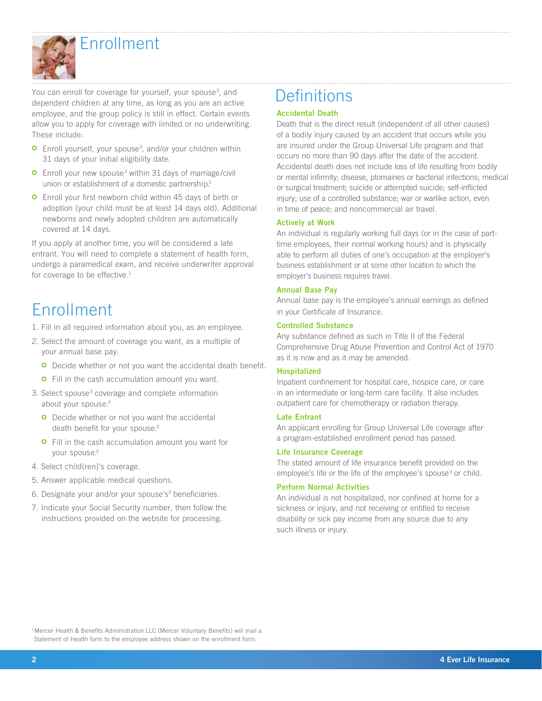

Enrollment

You can enroll for coverage for yourself, your spouse<sup>3</sup>, and dependent children at any time, as long as you are an active employee, and the group policy is still in effect. Certain events allow you to apply for coverage with limited or no underwriting. These include:

- Enroll yourself, your spouse<sup>3</sup>, and/or your children within 31 days of your initial eligibility date.
- Enroll your new spouse<sup>3</sup> within 31 days of marriage/civil union or establishment of a domestic partnership.<sup>3</sup>
- **O** Enroll your first newborn child within 45 days of birth or adoption (your child must be at least 14 days old). Additional newborns and newly adopted children are automatically covered at 14 days.

If you apply at another time, you will be considered a late entrant. You will need to complete a statement of health form, undergo a paramedical exam, and receive underwriter approval for coverage to be effective. $<sup>1</sup>$ </sup>

## Enrollment

- 1. Fill in all required information about you, as an employee.
- 2. Select the amount of coverage you want, as a multiple of your annual base pay.
	- **O** Decide whether or not you want the accidental death benefit.
	- **O** Fill in the cash accumulation amount you want.
- 3. Select spouse<sup>3</sup> coverage and complete information about your spouse.<sup>3</sup>
	- **O** Decide whether or not you want the accidental death benefit for your spouse.<sup>3</sup>
	- **O** Fill in the cash accumulation amount you want for your spouse.<sup>3</sup>
- 4. Select child(ren)'s coverage.
- 5. Answer applicable medical questions.
- 6. Designate your and/or your spouse's<sup>3</sup> beneficiaries.
- 7. Indicate your Social Security number, then follow the instructions provided on the website for processing.

## **Definitions**

#### Accidental Death

Death that is the direct result (independent of all other causes) of a bodily injury caused by an accident that occurs while you are insured under the Group Universal Life program and that occurs no more than 90 days after the date of the accident. Accidental death does not include loss of life resulting from bodily or mental infirmity; disease, ptomaines or bacterial infections; medical or surgical treatment; suicide or attempted suicide; self-inflicted injury; use of a controlled substance; war or warlike action, even in time of peace; and noncommercial air travel.

#### Actively at Work

An individual is regularly working full days (or in the case of parttime employees, their normal working hours) and is physically able to perform all duties of one's occupation at the employer's business establishment or at some other location to which the employer's business requires travel.

#### Annual Base Pay

Annual base pay is the employee's annual earnings as defined in your Certificate of Insurance.

#### Controlled Substance

Any substance defined as such in Title II of the Federal Comprehensive Drug Abuse Prevention and Control Act of 1970 as it is now and as it may be amended.

#### Hospitalized

Inpatient confinement for hospital care, hospice care, or care in an intermediate or long-term care facility. It also includes outpatient care for chemotherapy or radiation therapy.

#### Late Entrant

An applicant enrolling for Group Universal Life coverage after a program-established enrollment period has passed.

#### Life Insurance Coverage

The stated amount of life insurance benefit provided on the employee's life or the life of the employee's spouse<sup>3</sup> or child.

#### Perform Normal Activities

An individual is not hospitalized, nor confined at home for a sickness or injury, and not receiving or entitled to receive disability or sick pay income from any source due to any such illness or injury.

<sup>1</sup> Mercer Health & Benefits Administration LLC (Mercer Voluntary Benefits) will mail a Statement of Health form to the employee address shown on the enrollment form.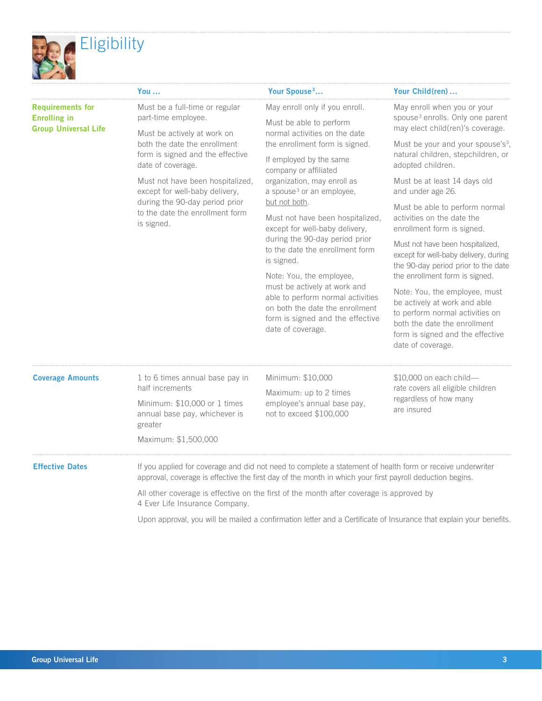

|                                                | You …                                                                                                                | Your Spouse <sup>3</sup>                                                                                                         | Your Child(ren)                                                                                                                              |
|------------------------------------------------|----------------------------------------------------------------------------------------------------------------------|----------------------------------------------------------------------------------------------------------------------------------|----------------------------------------------------------------------------------------------------------------------------------------------|
| <b>Requirements for</b><br><b>Enrolling in</b> | Must be a full-time or regular<br>part-time employee.                                                                | May enroll only if you enroll.<br>Must be able to perform                                                                        | May enroll when you or your<br>spouse <sup>3</sup> enrolls. Only one parent                                                                  |
| <b>Group Universal Life</b>                    | Must be actively at work on<br>both the date the enrollment<br>form is signed and the effective<br>date of coverage. | normal activities on the date<br>the enrollment form is signed.<br>If employed by the same<br>company or affiliated              | may elect child(ren)'s coverage.<br>Must be your and your spouse's <sup>3</sup> ,<br>natural children, stepchildren, or<br>adopted children. |
|                                                | Must not have been hospitalized,<br>except for well-baby delivery,                                                   | organization, may enroll as<br>a spouse <sup>3</sup> or an employee,                                                             | Must be at least 14 days old<br>and under age 26.                                                                                            |
|                                                | during the 90-day period prior<br>to the date the enrollment form<br>is signed.                                      | but not both.<br>Must not have been hospitalized.<br>except for well-baby delivery,                                              | Must be able to perform normal<br>activities on the date the<br>enrollment form is signed.                                                   |
|                                                |                                                                                                                      | during the 90-day period prior<br>to the date the enrollment form<br>is signed.                                                  | Must not have been hospitalized,<br>except for well-baby delivery, during<br>the 90-day period prior to the date                             |
|                                                |                                                                                                                      | Note: You, the employee,<br>must be actively at work and<br>able to perform normal activities<br>on both the date the enrollment | the enrollment form is signed.<br>Note: You, the employee, must<br>be actively at work and able                                              |
|                                                |                                                                                                                      | form is signed and the effective<br>$\blacksquare$                                                                               | to perform normal activities on<br>both the date the enrollment                                                                              |

| <b>Coverage Amounts</b> | 1 to 6 times annual base pay in<br>half increments<br>Minimum: \$10,000 or 1 times<br>annual base pay, whichever is<br>greater<br>Maximum: \$1,500,000 | Minimum: \$10,000<br>Maximum: up to 2 times<br>employee's annual base pay,<br>not to exceed \$100,000                                                                                                                  | $$10,000$ on each child-<br>rate covers all eligible children<br>regardless of how many<br>are insured             |
|-------------------------|--------------------------------------------------------------------------------------------------------------------------------------------------------|------------------------------------------------------------------------------------------------------------------------------------------------------------------------------------------------------------------------|--------------------------------------------------------------------------------------------------------------------|
| <b>Effective Dates</b>  |                                                                                                                                                        | If you applied for coverage and did not need to complete a statement of health form or receive underwriter<br>approval, coverage is effective the first day of the month in which your first payroll deduction begins. |                                                                                                                    |
|                         | 4 Ever Life Insurance Company.                                                                                                                         | All other coverage is effective on the first of the month after coverage is approved by                                                                                                                                |                                                                                                                    |
|                         |                                                                                                                                                        |                                                                                                                                                                                                                        | Upon approval, you will be mailed a confirmation letter and a Certificate of Insurance that explain your benefits. |

date of coverage.

form is signed and the effective

date of coverage.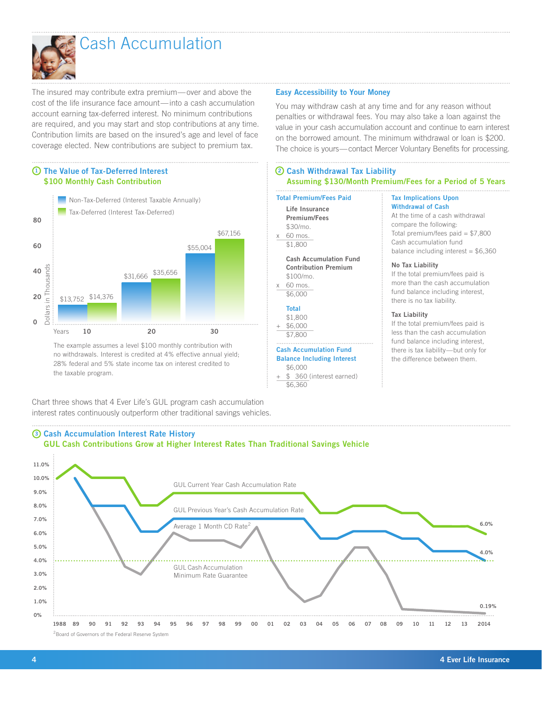

## Cash Accumulation

The insured may contribute extra premium—over and above the cost of the life insurance face amount—into a cash accumulation account earning tax-deferred interest. No minimum contributions are required, and you may start and stop contributions at any time. Contribution limits are based on the insured's age and level of face coverage elected. New contributions are subject to premium tax.

#### $\overline{1}$ ) The Value of Tax-Deferred Interest  $\overline{2}$ \$100 Monthly Cash Contribution



The example assumes a level \$100 monthly contribution with no withdrawals. Interest is credited at 4% effective annual yield; 28% federal and 5% state income tax on interest credited to the taxable program.

Chart three shows that 4 Ever Life's GUL program cash accumulation interest rates continuously outperform other traditional savings vehicles.

#### Cash Accumulation Interest Rate History 3





#### Easy Accessibility to Your Money

You may withdraw cash at any time and for any reason without penalties or withdrawal fees. You may also take a loan against the value in your cash accumulation account and continue to earn interest on the borrowed amount. The minimum withdrawal or loan is \$200. The choice is yours—contact Mercer Voluntary Benefits for processing.

#### Cash Withdrawal Tax Liability Assuming \$130/Month Premium/Fees for a Period of 5 Years

| <b>Total Premium/Fees Paid</b>                                                                                                           | <b>Tax Implications Upon</b>                                                                                                                                                                            |
|------------------------------------------------------------------------------------------------------------------------------------------|---------------------------------------------------------------------------------------------------------------------------------------------------------------------------------------------------------|
| Life Insurance<br><b>Premium/Fees</b><br>\$30/mo.<br>60 mos.<br>$\times$<br>\$1,800                                                      | <b>Withdrawal of Cash</b><br>At the time of a cash withdrawal<br>compare the following:<br>Total premium/fees paid = $$7,800$<br>Cash accumulation fund<br>balance including interest = $$6,360$        |
| <b>Cash Accumulation Fund</b><br><b>Contribution Premium</b><br>\$100/mo.<br>60 mos.<br>X<br>\$6,000                                     | No Tax Liability<br>If the total premium/fees paid is<br>more than the cash accumulation<br>fund balance including interest,<br>there is no tax liability.                                              |
| <b>Total</b><br>\$1,800<br>\$6,000<br>$^{+}$<br>\$7,800<br><b>Cash Accumulation Fund</b><br><b>Balance Including Interest</b><br>\$6,000 | <b>Tax Liability</b><br>If the total premium/fees paid is<br>less than the cash accumulation<br>fund balance including interest.<br>there is tax liability-but only for<br>the difference between them. |

\$ 360 (interest earned) \$6,360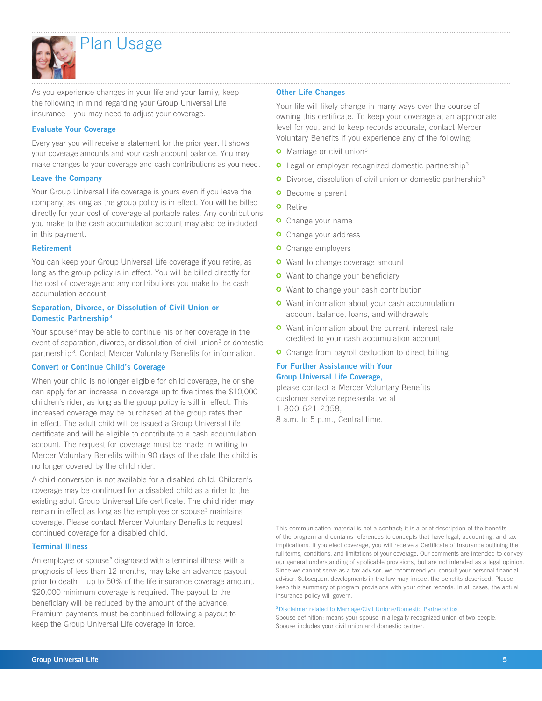

## Plan Usage

As you experience changes in your life and your family, keep the following in mind regarding your Group Universal Life insurance—you may need to adjust your coverage.

#### Evaluate Your Coverage

Every year you will receive a statement for the prior year. It shows your coverage amounts and your cash account balance. You may make changes to your coverage and cash contributions as you need.

#### Leave the Company

Your Group Universal Life coverage is yours even if you leave the company, as long as the group policy is in effect. You will be billed directly for your cost of coverage at portable rates. Any contributions you make to the cash accumulation account may also be included in this payment.

#### Retirement

You can keep your Group Universal Life coverage if you retire, as long as the group policy is in effect. You will be billed directly for the cost of coverage and any contributions you make to the cash accumulation account.

#### Separation, Divorce, or Dissolution of Civil Union or Domestic Partnership3

Your spouse<sup>3</sup> may be able to continue his or her coverage in the event of separation, divorce, or dissolution of civil union<sup>3</sup> or domestic partnership<sup>3</sup>. Contact Mercer Voluntary Benefits for information.

#### Convert or Continue Child's Coverage

When your child is no longer eligible for child coverage, he or she can apply for an increase in coverage up to five times the \$10,000 children's rider, as long as the group policy is still in effect. This increased coverage may be purchased at the group rates then in effect. The adult child will be issued a Group Universal Life certificate and will be eligible to contribute to a cash accumulation account. The request for coverage must be made in writing to Mercer Voluntary Benefits within 90 days of the date the child is no longer covered by the child rider.

A child conversion is not available for a disabled child. Children's coverage may be continued for a disabled child as a rider to the existing adult Group Universal Life certificate. The child rider may remain in effect as long as the employee or spouse<sup>3</sup> maintains coverage. Please contact Mercer Voluntary Benefits to request continued coverage for a disabled child.

#### Terminal Illness

An employee or spouse<sup>3</sup> diagnosed with a terminal illness with a prognosis of less than 12 months, may take an advance payout prior to death—up to 50% of the life insurance coverage amount. \$20,000 minimum coverage is required. The payout to the beneficiary will be reduced by the amount of the advance. Premium payments must be continued following a payout to keep the Group Universal Life coverage in force.

#### Other Life Changes

Your life will likely change in many ways over the course of owning this certificate. To keep your coverage at an appropriate level for you, and to keep records accurate, contact Mercer Voluntary Benefits if you experience any of the following:

- **O** Marriage or civil union<sup>3</sup>
- **O** Legal or employer-recognized domestic partnership<sup>3</sup>
- **O** Divorce, dissolution of civil union or domestic partnership<sup>3</sup>
- **O** Become a parent
- **O** Retire
- **O** Change your name
- **o** Change your address
- **o** Change employers
- **o** Want to change coverage amount
- **O** Want to change your beneficiary
- **O** Want to change your cash contribution
- **O** Want information about your cash accumulation account balance, loans, and withdrawals
- **o** Want information about the current interest rate credited to your cash accumulation account
- **O** Change from payroll deduction to direct billing

#### For Further Assistance with Your Group Universal Life Coverage,

please contact a Mercer Voluntary Benefits customer service representative at 1-800-621-2358,

8 a.m. to 5 p.m., Central time.

This communication material is not a contract; it is a brief description of the benefits of the program and contains references to concepts that have legal, accounting, and tax implications. If you elect coverage, you will receive a Certificate of Insurance outlining the full terms, conditions, and limitations of your coverage. Our comments are intended to convey our general understanding of applicable provisions, but are not intended as a legal opinion. Since we cannot serve as a tax advisor, we recommend you consult your personal financial advisor. Subsequent developments in the law may impact the benefits described. Please keep this summary of program provisions with your other records. In all cases, the actual insurance policy will govern.

#### 3Disclaimer related to Marriage/Civil Unions/Domestic Partnerships

Spouse definition: means your spouse in a legally recognized union of two people. Spouse includes your civil union and domestic partner.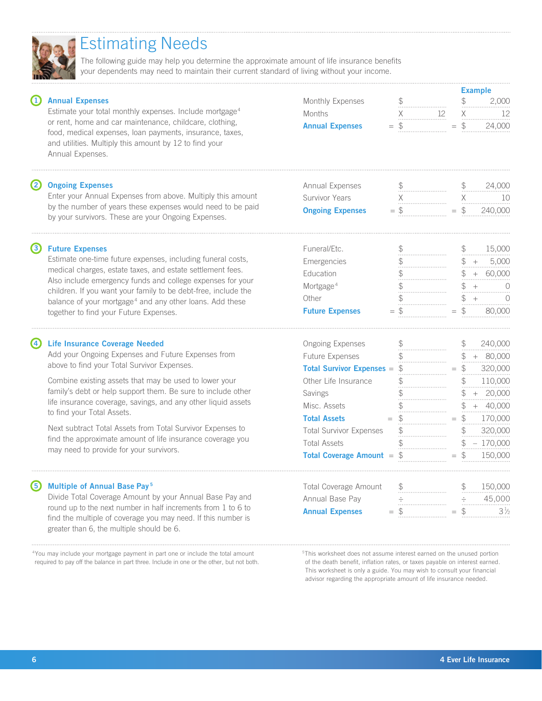|    |                                                                                                                                                                                                   |                                                  |    | <b>Example</b> |     |            |
|----|---------------------------------------------------------------------------------------------------------------------------------------------------------------------------------------------------|--------------------------------------------------|----|----------------|-----|------------|
|    | <b>Annual Expenses</b>                                                                                                                                                                            | Monthly Expenses                                 |    | $\mathcal{F}$  |     | 2.000      |
|    | Estimate your total monthly expenses. Include mortgage <sup>4</sup>                                                                                                                               | Months                                           | 12 |                |     | -12        |
|    | or rent, home and car maintenance, childcare, clothing,<br>food, medical expenses, loan payments, insurance, taxes,<br>and utilities. Multiply this amount by 12 to find your<br>Annual Expenses. | <b>Annual Expenses</b>                           |    | -S             |     | 24,000     |
| 2) | <b>Ongoing Expenses</b>                                                                                                                                                                           | Annual Expenses                                  |    |                |     | 24,000     |
|    | Enter your Annual Expenses from above. Multiply this amount                                                                                                                                       | Survivor Years                                   |    |                |     | 10         |
|    | by the number of years these expenses would need to be paid<br>by your survivors. These are your Ongoing Expenses.                                                                                | <b>Ongoing Expenses</b>                          |    |                |     | 240,000    |
| 3) | <b>Future Expenses</b>                                                                                                                                                                            | Funeral/Etc.                                     |    |                |     | 15,000     |
|    | Estimate one-time future expenses, including funeral costs,                                                                                                                                       | Emergencies                                      |    |                | $+$ | 5,000      |
|    | medical charges, estate taxes, and estate settlement fees.                                                                                                                                        | Education                                        |    | S.             |     | $+ 60.000$ |
|    | Also include emergency funds and college expenses for your<br>children. If you want your family to be debt-free, include the                                                                      | Mortgage <sup>4</sup>                            |    |                |     |            |
|    | balance of your mortgage <sup>4</sup> and any other loans. Add these                                                                                                                              | Other                                            |    |                |     |            |
|    | together to find your Future Expenses.                                                                                                                                                            | <b>Future Expenses</b>                           |    |                |     | 80,000     |
| 4) | <b>Life Insurance Coverage Needed</b>                                                                                                                                                             | <b>Ongoing Expenses</b>                          |    |                |     | 240,000    |
|    | Add your Ongoing Expenses and Future Expenses from                                                                                                                                                | Future Expenses                                  |    |                |     | 80,000     |
|    | above to find your Total Survivor Expenses.                                                                                                                                                       | <b>Total Survivor Expenses = <math>\$</math></b> |    | $\mathcal{F}$  |     | 320,000    |

 Combine existing assets that may be used to lower your family's debt or help support them. Be sure to include other life insurance coverage, savings, and any other liquid assets to find your Total Assets.

 Next subtract Total Assets from Total Survivor Expenses to find the approximate amount of life insurance coverage you may need to provide for your survivors.

#### Multiple of Annual Base Pay<sup>5</sup>

Divide Total Coverage Amount by your Annual Base Pay and round up to the next number in half increments from 1 to 6 to find the multiple of coverage you may need. If this number is greater than 6, the multiple should be 6.

4You may include your mortgage payment in part one or include the total amount required to pay off the balance in part three. Include in one or the other, but not both.

 of the death benefit, inflation rates, or taxes payable on interest earned. This worksheet is only a guide. You may wish to consult your financial advisor regarding the appropriate amount of life insurance needed.

# 5This worksheet does not assume interest earned on the unused portion



### Estimating Needs

The following guide may help you determine the approximate amount of life insurance benefits your dependents may need to maintain their current standard of living without your income.

| <b>Future Expenses</b>                         | $=$ |    | 80.0                   |
|------------------------------------------------|-----|----|------------------------|
| <b>Ongoing Expenses</b>                        |     |    | 240,000                |
| <b>Future Expenses</b>                         |     | \$ | 80,000<br>\$<br>$^{+}$ |
| <b>Total Survivor Expenses =</b>               |     | \$ | 320,000<br>\$          |
| Other Life Insurance                           |     |    | 110,000<br>\$          |
| Savings                                        |     | \$ | 20,000<br>\$<br>$^{+}$ |
| Misc. Assets                                   |     |    | 40,000<br>$+$          |
| <b>Total Assets</b>                            |     |    | 170,000<br>\$          |
| <b>Total Survivor Expenses</b>                 |     | \$ | 320,000<br>\$.         |
| <b>Total Assets</b>                            |     | \$ | $-170,000$<br>\$       |
| <b>Total Coverage Amount = <math>\$</math></b> |     |    | 150,000                |
|                                                |     |    |                        |

| <b>Total Coverage Amount</b> |     |                            |       | 150.000<br> |  |
|------------------------------|-----|----------------------------|-------|-------------|--|
| Annual Base Pay              |     |                            |       | 45.000<br>  |  |
| <b>Annual Expenses</b>       | $=$ | ************************** | $=$ 5 | 346.        |  |
|                              |     |                            |       |             |  |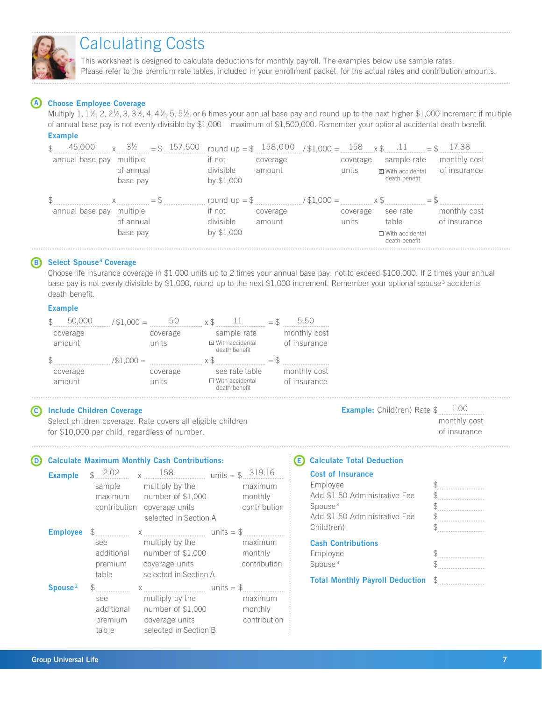

## Calculating Costs

This worksheet is designed to calculate deductions for monthly payroll. The examples below use sample rates. Please refer to the premium rate tables, included in your enrollment packet, for the actual rates and contribution amounts.

#### A Choose Employee Coverage

Multiply 1,  $1\frac{1}{2}$ , 2,  $2\frac{1}{2}$ , 3,  $3\frac{1}{2}$ , 4,  $4\frac{1}{2}$ , 5,  $5\frac{1}{2}$ , or 6 times your annual base pay and round up to the next higher \$1,000 increment if multiple of annual base pay is not evenly divisible by \$1,000—maximum of \$1,500,000. Remember your optional accidental death benefit.

#### Example

| 45,000          | $3\frac{1}{2}$<br>$=$ \$ 157,500<br>$\times$ |                          | round up = $$158,000$ ,   | $11.000 = 158$ x \$ .11 |                                    | 17.38        |
|-----------------|----------------------------------------------|--------------------------|---------------------------|-------------------------|------------------------------------|--------------|
| annual base pay | multiple                                     | if not                   | coverage                  | coverage                | sample rate                        | monthly cost |
|                 | of annual<br>base pay                        | divisible<br>by \$1,000  | amount                    | units                   | X With accidental<br>death benefit | of insurance |
|                 |                                              |                          |                           |                         |                                    |              |
|                 |                                              |                          |                           |                         |                                    |              |
| annual base pay | $=$ S<br>multiple                            | round $up = $$<br>if not | $/$ \$1,000 =<br>coverage | coverage                | see rate                           | monthly cost |
|                 | of annual                                    | divisible                | amount                    | units                   | table                              | of insurance |

#### **B** Select Spouse<sup>3</sup> Coverage

Choose life insurance coverage in \$1,000 units up to 2 times your annual base pay, not to exceed \$100,000. If 2 times your annual base pay is not evenly divisible by \$1,000, round up to the next \$1,000 increment. Remember your optional spouse<sup>3</sup> accidental death benefit.

#### Example

|          | 50.000   | $$1,000 =$  | 50       | XЪ |                                           | $=$ $\mathcal{P}$ | 5.50         |  |
|----------|----------|-------------|----------|----|-------------------------------------------|-------------------|--------------|--|
| coverage |          |             | coverage |    | sample rate                               |                   | monthly cost |  |
| amount   |          | units       |          |    | <b>⊠</b> With accidental<br>death benefit |                   | of insurance |  |
|          |          | $\$1.000 =$ |          | xЖ |                                           | $=$               |              |  |
|          |          |             |          |    |                                           |                   |              |  |
|          | coverage |             | coverage |    | see rate table                            |                   | monthly cost |  |

#### C Include Children Coverage

Select children coverage. Rate covers all eligible children for \$10,000 per child, regardless of number.

#### D Calculate Maximum Monthly Cash Contributions:

| <b>Example</b>      |              | $\frac{2.02}{x}$ x $\frac{158}{x}$ units = \$ 319.16<br>sample multiply by the<br>maximum number of \$1,000<br>contribution coverage units<br>selected in Section A                                                                                                                                                                                                                                                             | maximum<br>monthly<br>contribution |
|---------------------|--------------|---------------------------------------------------------------------------------------------------------------------------------------------------------------------------------------------------------------------------------------------------------------------------------------------------------------------------------------------------------------------------------------------------------------------------------|------------------------------------|
|                     | see<br>table | multiply by the<br>additional number of \$1,000<br>premium coverage units<br>selected in Section A                                                                                                                                                                                                                                                                                                                              | maximum<br>monthly<br>contribution |
| Spouse <sup>3</sup> | see          | $\frac{1}{2}$ $\frac{1}{2}$ $\frac{1}{2}$ $\frac{1}{2}$ $\frac{1}{2}$ $\frac{1}{2}$ $\frac{1}{2}$ $\frac{1}{2}$ $\frac{1}{2}$ $\frac{1}{2}$ $\frac{1}{2}$ $\frac{1}{2}$ $\frac{1}{2}$ $\frac{1}{2}$ $\frac{1}{2}$ $\frac{1}{2}$ $\frac{1}{2}$ $\frac{1}{2}$ $\frac{1}{2}$ $\frac{1}{2}$ $\frac{1}{2}$ $\frac{1}{2}$<br>multiply by the<br>additional number of \$1,000<br>premium coverage units<br>table selected in Section B | maximum<br>monthly<br>contribution |

#### Example: Child(ren) Rate \$ 1.00 monthly cost of insurance

#### E Calculate Total Deduction

#### Cost of Insurance

| Employee                      |                                                                         |
|-------------------------------|-------------------------------------------------------------------------|
| Add \$1.50 Administrative Fee | $\frac{1}{2}$                                                           |
| Spouse <sup>3</sup>           |                                                                         |
| Add \$1.50 Administrative Fee |                                                                         |
| Child(ren)                    | $\mathfrak{S}_{\ldots\ldots\ldots\ldots\ldots\ldots\ldots\ldots\ldots}$ |
|                               |                                                                         |
| <b>Cash Contributions</b>     |                                                                         |
| Employee                      |                                                                         |
| Spouse <sup>3</sup>           | $\mathbb{S}$                                                            |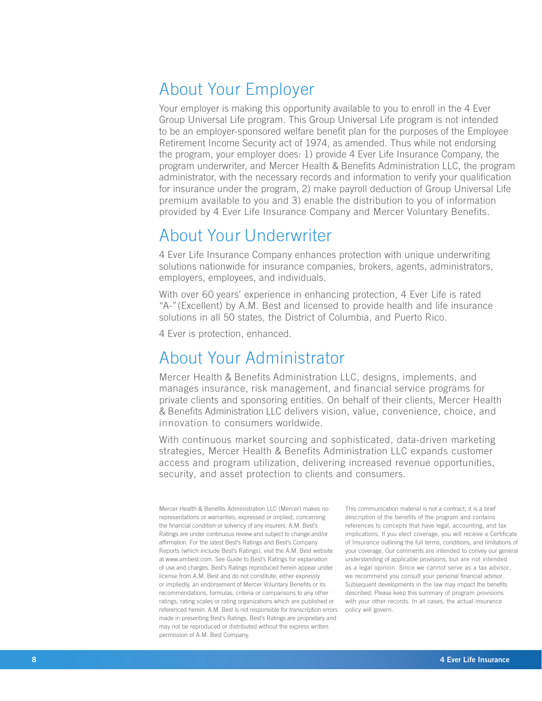## About Your Employer

Your employer is making this opportunity available to you to enroll in the 4 Ever Group Universal Life program. This Group Universal Life program is not intended to be an employer-sponsored welfare benefit plan for the purposes of the Employee Retirement Income Security act of 1974, as amended. Thus while not endorsing the program, your employer does: 1) provide 4 Ever Life Insurance Company, the program underwriter, and Mercer Health & Benefits Administration LLC, the program administrator, with the necessary records and information to verify your qualification for insurance under the program, 2) make payroll deduction of Group Universal Life premium available to you and 3) enable the distribution to you of information provided by 4 Ever Life Insurance Company and Mercer Voluntary Benefits.

## About Your Underwriter

4 Ever Life Insurance Company enhances protection with unique underwriting solutions nationwide for insurance companies, brokers, agents, administrators, employers, employees, and individuals.

With over 60 years' experience in enhancing protection, 4 Ever Life is rated "A-" (Excellent) by A.M. Best and licensed to provide health and life insurance solutions in all 50 states, the District of Columbia, and Puerto Rico.

4 Ever is protection, enhanced.

## About Your Administrator

Mercer Health & Benefits Administration LLC, designs, implements, and manages insurance, risk management, and financial service programs for private clients and sponsoring entities. On behalf of their clients, Mercer Health & Benefits Administration LLC delivers vision, value, convenience, choice, and innovation to consumers worldwide.

With continuous market sourcing and sophisticated, data-driven marketing strategies, Mercer Health & Benefits Administration LLC expands customer access and program utilization, delivering increased revenue opportunities, security, and asset protection to clients and consumers.

Mercer Health & Benefits Administration LLC (Mercer) makes no representations or warranties, expressed or implied, concerning the financial condition or solvency of any insurers. A.M. Best's Ratings are under continuous review and subject to change and/or affirmation. For the latest Best's Ratings and Best's Company Reports (which include Best's Ratings), visit the A.M. Best website at www.ambest.com. See Guide to Best's Ratings for explanation of use and charges. Best's Ratings reproduced herein appear under license from A.M. Best and do not constitute, either expressly or impliedly, an endorsement of Mercer Voluntary Benefits or its recommendations, formulas, criteria or comparisons to any other ratings, rating scales or rating organizations which are published or referenced herein. A.M. Best is not responsible for transcription errors made in presenting Best's Ratings. Best's Ratings are proprietary and may not be reproduced or distributed without the express written permission of A.M. Best Company.

This communication material is not a contract; it is a brief description of the benefits of the program and contains references to concepts that have legal, accounting, and tax implications. If you elect coverage, you will receive a Certificate of Insurance outlining the full terms, conditions, and limitations of your coverage. Our comments are intended to convey our general understanding of applicable provisions, but are not intended as a legal opinion. Since we cannot serve as a tax advisor, we recommend you consult your personal financial advisor. Subsequent developments in the law may impact the benefits described. Please keep this summary of program provisions with your other records. In all cases, the actual insurance policy will govern.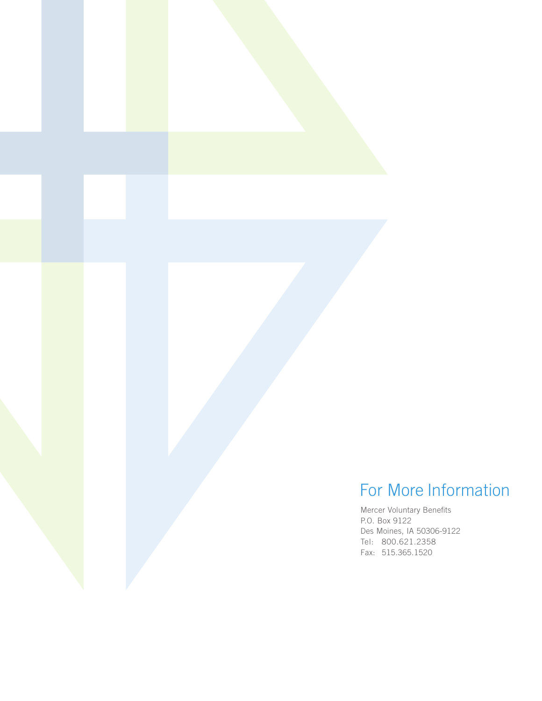## For More Information

Mercer Voluntary Benefits P.O. Box 9122 Des Moines, IA 50306-9122 Tel: 800.621.2358 Fax: 515.365.1520